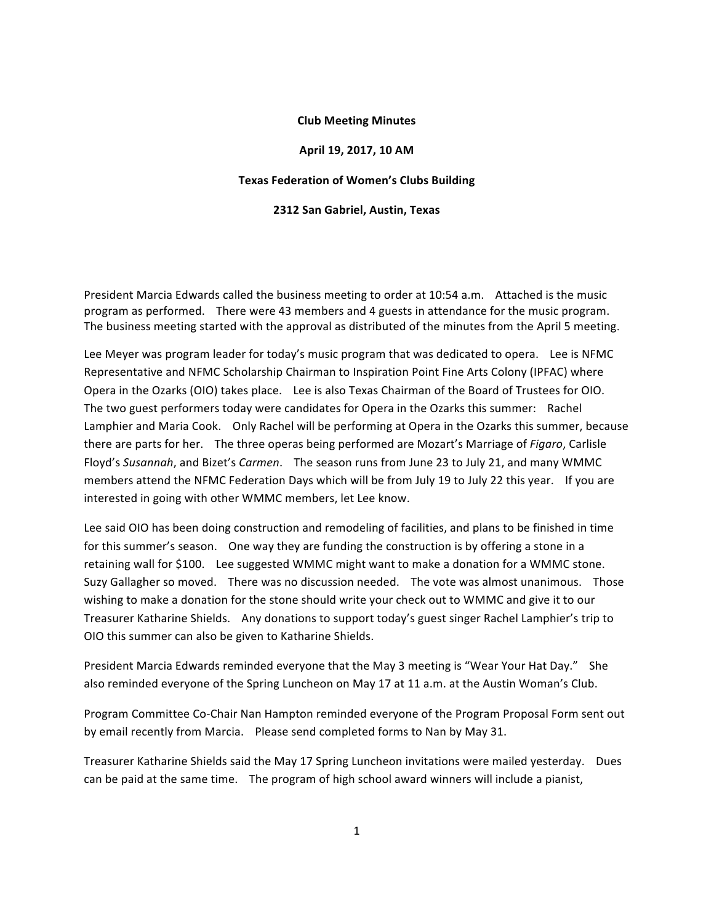### **Club Meeting Minutes**

#### **April 19, 2017, 10 AM**

### **Texas Federation of Women's Clubs Building**

#### **2312 San Gabriel, Austin, Texas**

President Marcia Edwards called the business meeting to order at 10:54 a.m. Attached is the music program as performed. There were 43 members and 4 guests in attendance for the music program. The business meeting started with the approval as distributed of the minutes from the April 5 meeting.

Lee Meyer was program leader for today's music program that was dedicated to opera. Lee is NFMC Representative and NFMC Scholarship Chairman to Inspiration Point Fine Arts Colony (IPFAC) where Opera in the Ozarks (OIO) takes place. Lee is also Texas Chairman of the Board of Trustees for OIO. The two guest performers today were candidates for Opera in the Ozarks this summer: Rachel Lamphier and Maria Cook. Only Rachel will be performing at Opera in the Ozarks this summer, because there are parts for her. The three operas being performed are Mozart's Marriage of *Figaro*, Carlisle Floyd's Susannah, and Bizet's *Carmen*. The season runs from June 23 to July 21, and many WMMC members attend the NFMC Federation Days which will be from July 19 to July 22 this year. If you are interested in going with other WMMC members, let Lee know.

Lee said OIO has been doing construction and remodeling of facilities, and plans to be finished in time for this summer's season. One way they are funding the construction is by offering a stone in a retaining wall for \$100. Lee suggested WMMC might want to make a donation for a WMMC stone. Suzy Gallagher so moved. There was no discussion needed. The vote was almost unanimous. Those wishing to make a donation for the stone should write your check out to WMMC and give it to our Treasurer Katharine Shields. Any donations to support today's guest singer Rachel Lamphier's trip to OIO this summer can also be given to Katharine Shields.

President Marcia Edwards reminded everyone that the May 3 meeting is "Wear Your Hat Day." She also reminded everyone of the Spring Luncheon on May 17 at 11 a.m. at the Austin Woman's Club.

Program Committee Co-Chair Nan Hampton reminded everyone of the Program Proposal Form sent out by email recently from Marcia. Please send completed forms to Nan by May 31.

Treasurer Katharine Shields said the May 17 Spring Luncheon invitations were mailed yesterday. Dues can be paid at the same time. The program of high school award winners will include a pianist,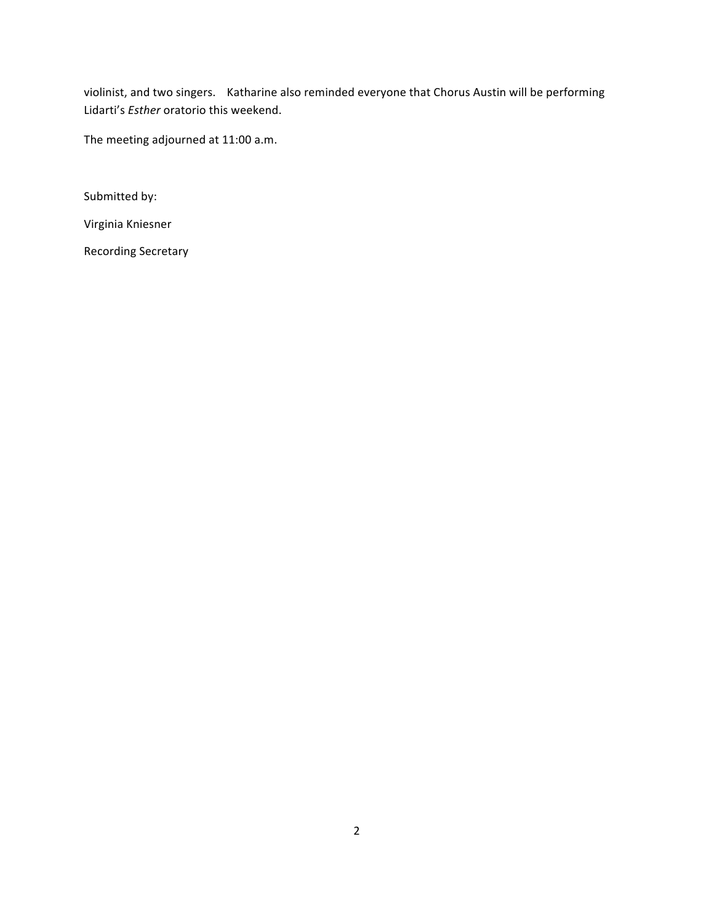violinist, and two singers. Katharine also reminded everyone that Chorus Austin will be performing Lidarti's *Esther* oratorio this weekend.

The meeting adjourned at 11:00 a.m.

Submitted by:

Virginia Kniesner

Recording Secretary